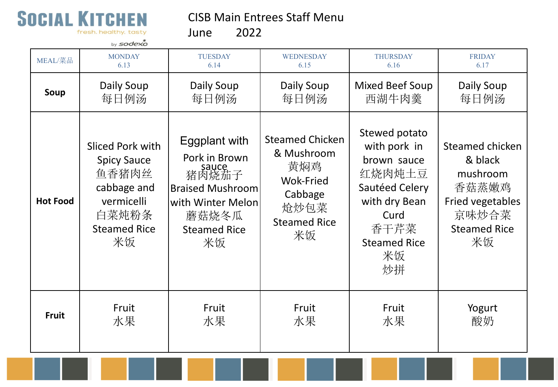

CISB Main Entrees Staff Menu

fresh. healthy. tasty

June 2022

|                 | by sodexo                                                                                                          |                                                                                                                                        |                                                                                                                 |                                                                                                                                              |                                                                                                           |
|-----------------|--------------------------------------------------------------------------------------------------------------------|----------------------------------------------------------------------------------------------------------------------------------------|-----------------------------------------------------------------------------------------------------------------|----------------------------------------------------------------------------------------------------------------------------------------------|-----------------------------------------------------------------------------------------------------------|
| MEAL/菜品         | <b>MONDAY</b>                                                                                                      | <b>TUESDAY</b>                                                                                                                         | WEDNESDAY                                                                                                       | <b>THURSDAY</b>                                                                                                                              | <b>FRIDAY</b>                                                                                             |
|                 | 6.13                                                                                                               | 6.14                                                                                                                                   | 6.15                                                                                                            | 6.16                                                                                                                                         | 6.17                                                                                                      |
| Soup            | Daily Soup                                                                                                         | Daily Soup                                                                                                                             | Daily Soup                                                                                                      | <b>Mixed Beef Soup</b>                                                                                                                       | Daily Soup                                                                                                |
|                 | 每日例汤                                                                                                               | 每日例汤                                                                                                                                   | 每日例汤                                                                                                            | 西湖牛肉羹                                                                                                                                        | 每日例汤                                                                                                      |
| <b>Hot Food</b> | Sliced Pork with<br><b>Spicy Sauce</b><br>鱼香猪肉丝<br>cabbage and<br>vermicelli<br>白菜炖粉条<br><b>Steamed Rice</b><br>米饭 | Eggplant with<br>Pork in Brown<br>sauce<br>猪肉烧茄子<br><b>Braised Mushroom</b><br>with Winter Melon<br>蘑菇烧冬瓜<br><b>Steamed Rice</b><br>米饭 | <b>Steamed Chicken</b><br>& Mushroom<br>黄焖鸡<br><b>Wok-Fried</b><br>Cabbage<br>炝炒包菜<br><b>Steamed Rice</b><br>米饭 | Stewed potato<br>with pork in<br>brown sauce<br>红烧肉炖土豆<br>Sautéed Celery<br>with dry Bean<br>Curd<br>香干芹菜<br><b>Steamed Rice</b><br>米饭<br>炒拼 | Steamed chicken<br>& black<br>mushroom<br>香菇蒸嫩鸡<br>Fried vegetables<br>京味炒合菜<br><b>Steamed Rice</b><br>米饭 |
| <b>Fruit</b>    | Fruit                                                                                                              | Fruit                                                                                                                                  | Fruit                                                                                                           | Fruit                                                                                                                                        | Yogurt                                                                                                    |
|                 | 水果                                                                                                                 | 水果                                                                                                                                     | 水果                                                                                                              | 水果                                                                                                                                           | 酸奶                                                                                                        |
|                 |                                                                                                                    |                                                                                                                                        |                                                                                                                 |                                                                                                                                              |                                                                                                           |